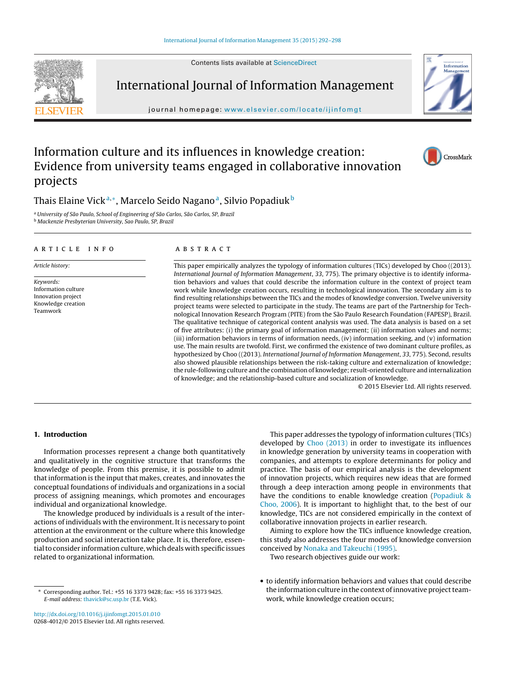Contents lists available at [ScienceDirect](http://www.sciencedirect.com/science/journal/02684012)

International Journal of Information Management

journal homepage: [www.elsevier.com/locate/ijinfomgt](http://www.elsevier.com/locate/ijinfomgt)



CrossMark

# Information culture and its influences in knowledge creation: Evidence from university teams engaged in collaborative innovation projects

Thais Elaine Vick<sup>a,∗</sup>, Marcelo Seido Nagano<sup>a</sup>, Silvio Popadiuk<sup>b</sup>

<sup>a</sup> University of São Paulo, School of Engineering of São Carlos, São Carlos, SP, Brazil <sup>b</sup> Mackenzie Presbyterian University, Sao Paulo, SP, Brazil

# a r t i c l e i n f o

Article history:

Keywords: Information culture Innovation project Knowledge creation Teamwork

#### A B S T R A C T

This paper empirically analyzes the typology of information cultures (TICs) developed by Choo ((2013). International Journal of Information Management, 33, 775). The primary objective is to identify information behaviors and values that could describe the information culture in the context of project team work while knowledge creation occurs, resulting in technological innovation. The secondary aim is to find resulting relationships between the TICs and the modes of knowledge conversion. Twelve university project teams were selected to participate in the study. The teams are part of the Partnership for Technological Innovation Research Program (PITE) from the São Paulo Research Foundation (FAPESP), Brazil. The qualitative technique of categorical content analysis was used. The data analysis is based on a set of five attributes: (i) the primary goal of information management; (ii) information values and norms; (iii) information behaviors in terms of information needs, (iv) information seeking, and (v) information use. The main results are twofold. First, we confirmed the existence of two dominant culture profiles, as hypothesized by Choo ((2013). International Journal of Information Management, 33, 775). Second, results also showed plausible relationships between the risk-taking culture and externalization of knowledge; the rule-following culture and the combination of knowledge; result-oriented culture and internalization of knowledge; and the relationship-based culture and socialization of knowledge.

© 2015 Elsevier Ltd. All rights reserved.

## **1. Introduction**

Information processes represent a change both quantitatively and qualitatively in the cognitive structure that transforms the knowledge of people. From this premise, it is possible to admit that information is the input that makes, creates, and innovates the conceptual foundations of individuals and organizations in a social process of assigning meanings, which promotes and encourages individual and organizational knowledge.

The knowledge produced by individuals is a result of the interactions of individuals with the environment. It is necessary to point attention at the environment or the culture where this knowledge production and social interaction take place. It is, therefore, essential to consider information culture, which deals with specific issues related to organizational information.

∗ Corresponding author. Tel.: +55 16 3373 9428; fax: +55 16 3373 9425. E-mail address: [thavick@sc.usp.br](mailto:thavick@sc.usp.br) (T.E. Vick).

[http://dx.doi.org/10.1016/j.ijinfomgt.2015.01.010](dx.doi.org/10.1016/j.ijinfomgt.2015.01.010) 0268-4012/© 2015 Elsevier Ltd. All rights reserved.

This paper addresses the typology of information cultures (TICs) developed by [Choo \(2013\)](#page-6-0) in order to investigate its influences in knowledge generation by university teams in cooperation with companies, and attempts to explore determinants for policy and practice. The basis of our empirical analysis is the development of innovation projects, which requires new ideas that are formed through a deep interaction among people in environments that have the conditions to enable knowledge creation ([Popadiuk &](#page-6-0) [Choo, 2006\).](#page-6-0) It is important to highlight that, to the best of our knowledge, TICs are not considered empirically in the context of collaborative innovation projects in earlier research.

Aiming to explore how the TICs influence knowledge creation, this study also addresses the four modes of knowledge conversion conceived by [Nonaka and Takeuchi \(1995\).](#page-6-0)

Two research objectives guide our work:

• to identify information behaviors and values that could describe the information culture in the context of innovative project teamwork, while knowledge creation occurs;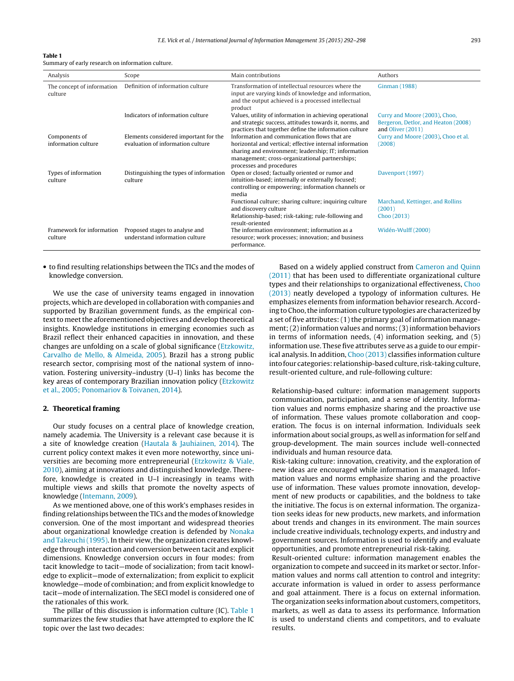#### <span id="page-1-0"></span>**Table 1**

Summary of early research on information culture.

| Analysis                              | Scope                                                                      | Main contributions                                                                                                                                                                                                                            | Authors                                                                                   |
|---------------------------------------|----------------------------------------------------------------------------|-----------------------------------------------------------------------------------------------------------------------------------------------------------------------------------------------------------------------------------------------|-------------------------------------------------------------------------------------------|
| The concept of information<br>culture | Definition of information culture                                          | Transformation of intellectual resources where the<br>input are varying kinds of knowledge and information,<br>and the output achieved is a processed intellectual<br>product                                                                 | <b>Ginman</b> (1988)                                                                      |
|                                       | Indicators of information culture                                          | Values, utility of information in achieving operational<br>and strategic success, attitudes towards it, norms, and<br>practices that together define the information culture                                                                  | Curry and Moore (2003), Choo,<br>Bergeron, Detlor, and Heaton (2008)<br>and Oliver (2011) |
| Components of<br>information culture  | Elements considered important for the<br>evaluation of information culture | Information and communication flows that are<br>horizontal and vertical; effective internal information<br>sharing and environment; leadership; IT; information<br>management; cross-organizational partnerships;<br>processes and procedures | Curry and Moore (2003), Choo et al.<br>(2008)                                             |
| Types of information<br>culture       | Distinguishing the types of information<br>culture                         | Open or closed; factually oriented or rumor and<br>intuition-based; internally or externally focused;<br>controlling or empowering; information channels or<br>media                                                                          | Davenport (1997)                                                                          |
|                                       |                                                                            | Functional culture; sharing culture; inquiring culture<br>and discovery culture                                                                                                                                                               | Marchand, Kettinger, and Rollins<br>(2001)                                                |
|                                       |                                                                            | Relationship-based; risk-taking; rule-following and<br>result-oriented                                                                                                                                                                        | Choo (2013)                                                                               |
| Framework for information<br>culture  | Proposed stages to analyse and<br>understand information culture           | The information environment; information as a<br>resource; work processes; innovation; and business<br>performance.                                                                                                                           | Widén-Wulff (2000)                                                                        |

• to find resulting relationships between the TICs and the modes of knowledge conversion.

We use the case of university teams engaged in innovation projects, which are developed in collaboration with companies and supported by Brazilian government funds, as the empirical context to meet the aforementioned objectives and develop theoretical insights. Knowledge institutions in emerging economies such as Brazil reflect their enhanced capacities in innovation, and these changes are unfolding on a scale of global significance [\(Etzkowitz,](#page-6-0) [Carvalho](#page-6-0) [de](#page-6-0) [Mello,](#page-6-0) [&](#page-6-0) [Almeida,](#page-6-0) [2005\).](#page-6-0) Brazil has a strong public research sector, comprising most of the national system of innovation. Fostering university–industry (U–I) links has become the key areas of contemporary Brazilian innovation policy [\(Etzkowitz](#page-6-0) et [al.,](#page-6-0) [2005;](#page-6-0) [Ponomariov](#page-6-0) [&](#page-6-0) [Toivanen,](#page-6-0) [2014\).](#page-6-0)

#### **2. Theoretical framing**

Our study focuses on a central place of knowledge creation, namely academia. The University is a relevant case because it is a site of knowledge creation [\(Hautala](#page-6-0) [&](#page-6-0) [Jauhiainen,](#page-6-0) [2014\).](#page-6-0) The current policy context makes it even more noteworthy, since universities are becoming more entrepreneurial [\(Etzkowitz](#page-6-0) [&](#page-6-0) [Viale,](#page-6-0) [2010\),](#page-6-0) aiming at innovations and distinguished knowledge. Therefore, knowledge is created in U–I increasingly in teams with multiple views and skills that promote the novelty aspects of knowledge ([Intemann,](#page-6-0) [2009\).](#page-6-0)

As we mentioned above, one of this work's emphases resides in finding relationships between the TICs and the modes of knowledge conversion. One of the most important and widespread theories about organizational knowledge creation is defended by [Nonaka](#page-6-0) [and](#page-6-0) [Takeuchi](#page-6-0) [\(1995\).](#page-6-0) In their view, the organization creates knowledge through interaction and conversion between tacit and explicit dimensions. Knowledge conversion occurs in four modes: from tacit knowledge to tacit—mode of socialization; from tacit knowledge to explicit—mode of externalization; from explicit to explicit knowledge—mode of combination; and from explicit knowledge to tacit—mode of internalization. The SECI model is considered one of the rationales of this work.

The pillar of this discussion is information culture (IC). Table 1 summarizes the few studies that have attempted to explore the IC topic over the last two decades:

Based on a widely applied construct from [Cameron](#page-6-0) [and](#page-6-0) [Quinn](#page-6-0) [\(2011\)](#page-6-0) that has been used to differentiate organizational culture types and their relationships to organizational effectiveness, [Choo](#page-6-0) [\(2013\)](#page-6-0) neatly developed a typology of information cultures. He emphasizes elements from information behavior research. According to Choo, the information culture typologies are characterized by a set of five attributes: (1) the primary goal of information management; (2) information values and norms; (3) information behaviors in terms of information needs, (4) information seeking, and (5) information use. These five attributes serve as a guide to our empirical analysis. In addition, [Choo](#page-6-0) [\(2013\)](#page-6-0) classifies information culture into four categories: relationship-based culture, risk-taking culture, result-oriented culture, and rule-following culture:

Relationship-based culture: information management supports communication, participation, and a sense of identity. Information values and norms emphasize sharing and the proactive use of information. These values promote collaboration and cooperation. The focus is on internal information. Individuals seek information about social groups, as well as information for self and group-development. The main sources include well-connected individuals and human resource data.

Risk-taking culture: innovation, creativity, and the exploration of new ideas are encouraged while information is managed. Information values and norms emphasize sharing and the proactive use of information. These values promote innovation, development of new products or capabilities, and the boldness to take the initiative. The focus is on external information. The organization seeks ideas for new products, new markets, and information about trends and changes in its environment. The main sources include creative individuals, technology experts, and industry and government sources. Information is used to identify and evaluate opportunities, and promote entrepreneurial risk-taking.

Result-oriented culture: information management enables the organization to compete and succeed in its market or sector. Information values and norms call attention to control and integrity: accurate information is valued in order to assess performance and goal attainment. There is a focus on external information. The organization seeks information about customers, competitors, markets, as well as data to assess its performance. Information is used to understand clients and competitors, and to evaluate results.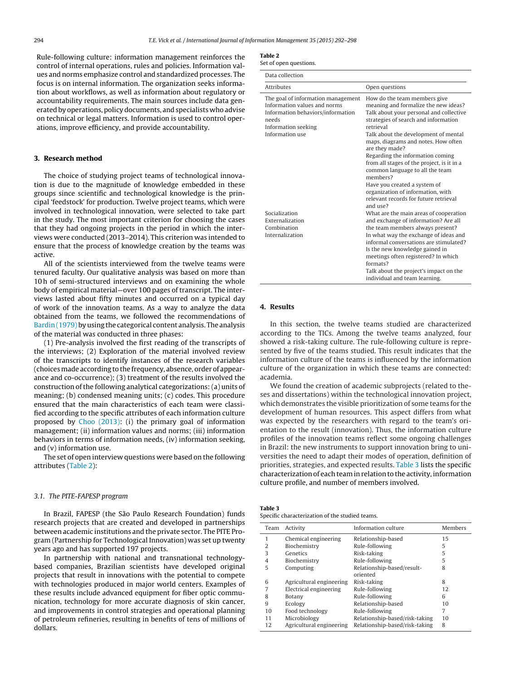Rule-following culture: information management reinforces the control of internal operations, rules and policies. Information values and norms emphasize control and standardized processes. The focus is on internal information. The organization seeks information about workflows, as well as information about regulatory or accountability requirements. The main sources include data generated by operations, policy documents, and specialists who advise on technical or legal matters. Information is used to control operations, improve efficiency, and provide accountability.

## **3. Research method**

The choice of studying project teams of technological innovation is due to the magnitude of knowledge embedded in these groups since scientific and technological knowledge is the principal 'feedstock' for production. Twelve project teams, which were involved in technological innovation, were selected to take part in the study. The most important criterion for choosing the cases that they had ongoing projects in the period in which the interviews were conducted (2013–2014). This criterion was intended to ensure that the process of knowledge creation by the teams was active.

All of the scientists interviewed from the twelve teams were tenured faculty. Our qualitative analysis was based on more than 10 h of semi-structured interviews and on examining the whole body of empirical material—over 100 pages of transcript. The interviews lasted about fifty minutes and occurred on a typical day of work of the innovation teams. As a way to analyze the data obtained from the teams, we followed the recommendations of Bardin (1979) by using the categorical content analysis. The analysis of the material was conducted in three phases:

(1) Pre-analysis involved the first reading of the transcripts of the interviews; (2) Exploration of the material involved review of the transcripts to identify instances of the research variables (choicesmade according to the frequency, absence, order of appearance and co-occurrence); (3) treatment of the results involved the construction ofthe following analytical categorizations:(a) units of meaning; (b) condensed meaning units; (c) codes. This procedure ensured that the main characteristics of each team were classified according to the specific attributes of each information culture proposed by [Choo](#page-6-0) [\(2013\):](#page-6-0) (i) the primary goal of information management; (ii) information values and norms; (iii) information behaviors in terms of information needs, (iv) information seeking, and (v) information use.

The set of open interview questions were based on the following attributes (Table 2):

#### 3.1. The PITE-FAPESP program

In Brazil, FAPESP (the São Paulo Research Foundation) funds research projects that are created and developed in partnerships between academic institutions and the private sector. The PITE Program (Partnership for Technological Innovation) was set up twenty years ago and has supported 197 projects.

In partnership with national and transnational technologybased companies, Brazilian scientists have developed original projects that result in innovations with the potential to compete with technologies produced in major world centers. Examples of these results include advanced equipment for fiber optic communication, technology for more accurate diagnosis of skin cancer, and improvements in control strategies and operational planning of petroleum refineries, resulting in benefits of tens of millions of dollars.

| Table |  |  |
|-------|--|--|
|       |  |  |

| Set of open questions. |  |  |
|------------------------|--|--|
|------------------------|--|--|

| Data collection                                                                                                                                            |                                                                                                                                                                                                                                                                                                                                                                                                                                                                             |
|------------------------------------------------------------------------------------------------------------------------------------------------------------|-----------------------------------------------------------------------------------------------------------------------------------------------------------------------------------------------------------------------------------------------------------------------------------------------------------------------------------------------------------------------------------------------------------------------------------------------------------------------------|
| <b>Attributes</b>                                                                                                                                          | Open questions                                                                                                                                                                                                                                                                                                                                                                                                                                                              |
| The goal of information management<br>Information values and norms<br>Information behaviors/information<br>needs<br>Information seeking<br>Information use | How do the team members give<br>meaning and formalize the new ideas?<br>Talk about your personal and collective<br>strategies of search and information<br>retrieval<br>Talk about the development of mental<br>maps, diagrams and notes. How often<br>are they made?<br>Regarding the information coming<br>from all stages of the project, is it in a<br>common language to all the team<br>members?<br>Have you created a system of<br>organization of information, with |
| Socialization<br>Externalization<br>Combination<br>Internalization                                                                                         | relevant records for future retrieval<br>and use?<br>What are the main areas of cooperation<br>and exchange of information? Are all<br>the team members always present?<br>In what way the exchange of ideas and<br>informal conversations are stimulated?<br>Is the new knowledge gained in<br>meetings often registered? In which<br>formats?<br>Talk about the project's impact on the<br>individual and team learning.                                                  |

#### **4. Results**

In this section, the twelve teams studied are characterized according to the TICs. Among the twelve teams analyzed, four showed a risk-taking culture. The rule-following culture is represented by five of the teams studied. This result indicates that the information culture of the teams is influenced by the information culture of the organization in which these teams are connected: academia.

We found the creation of academic subprojects (related to theses and dissertations) within the technological innovation project, which demonstrates the visible prioritization of some teams for the development of human resources. This aspect differs from what was expected by the researchers with regard to the team's orientation to the result (innovation). Thus, the information culture profiles of the innovation teams reflect some ongoing challenges in Brazil: the new instruments to support innovation bring to universities the need to adapt their modes of operation, definition of priorities, strategies, and expected results. Table 3 lists the specific characterization of each teamin relation to the activity, information culture profile, and number of members involved.

Specific characterization of the studied teams.

| Team | Activity                 | Information culture            | Members |
|------|--------------------------|--------------------------------|---------|
| 1    | Chemical engineering     | Relationship-based             | 15      |
| 2    | Biochemistry             | Rule-following                 | 5       |
| 3    | Genetics                 | Risk-taking                    | 5       |
| 4    | Biochemistry             | Rule-following                 | 5       |
| 5    | Computing                | Relationship-based/result-     | 8       |
|      |                          | oriented                       |         |
| 6    | Agricultural engineering | Risk-taking                    | 8       |
| 7    | Electrical engineering   | Rule-following                 | 12      |
| 8    | Botany                   | Rule-following                 | 6       |
| 9    | Ecology                  | Relationship-based             | 10      |
| 10   | Food technology          | Rule-following                 | 7       |
| 11   | Microbiology             | Relationship-based/risk-taking | 10      |
| 12   | Agricultural engineering | Relationship-based/risk-taking | 8       |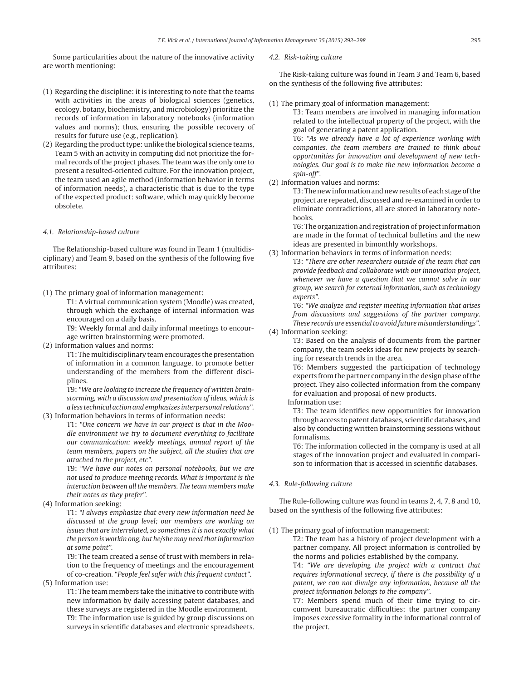Some particularities about the nature of the innovative activity are worth mentioning:

- (1) Regarding the discipline: it is interesting to note that the teams with activities in the areas of biological sciences (genetics, ecology, botany, biochemistry, and microbiology) prioritize the records of information in laboratory notebooks (information values and norms); thus, ensuring the possible recovery of results for future use (e.g., replication).
- (2) Regarding the product type: unlike the biological science teams, Team 5 with an activity in computing did not prioritize the formal records of the project phases. The team was the only one to present a resulted-oriented culture. For the innovation project, the team used an agile method (information behavior in terms of information needs), a characteristic that is due to the type of the expected product: software, which may quickly become obsolete.

#### 4.1. Relationship-based culture

The Relationship-based culture was found in Team 1 (multidisciplinary) and Team 9, based on the synthesis of the following five attributes:

(1) The primary goal of information management:

T1: A virtual communication system (Moodle) was created, through which the exchange of internal information was encouraged on a daily basis.

T9: Weekly formal and daily informal meetings to encourage written brainstorming were promoted.

(2) Information values and norms:

T1: The multidisciplinary team encourages the presentation of information in a common language, to promote better understanding of the members from the different disciplines.

T9: "We are looking to increase the frequency of written brainstorming, with a discussion and presentation of ideas, which is a less technical action and emphasizes interpersonal relations".

(3) Information behaviors in terms of information needs:

T1: "One concern we have in our project is that in the Moodle environment we try to document everything to facilitate our communication: weekly meetings, annual report of the team members, papers on the subject, all the studies that are attached to the project, etc".

T9: "We have our notes on personal notebooks, but we are not used to produce meeting records. What is important is the interaction between all the members. The team members make their notes as they prefer".

(4) Information seeking:

T1: "I always emphasize that every new information need be discussed at the group level; our members are working on issues that are interrelated, so sometimes it is not exactly what the person is workin ong, but he/she may need that information at some point".

T9: The team created a sense of trust with members in relation to the frequency of meetings and the encouragement of co-creation. "People feel safer with this frequent contact".

(5) Information use:

T1: The team members take the initiative to contribute with new information by daily accessing patent databases, and these surveys are registered in the Moodle environment. T9: The information use is guided by group discussions on surveys in scientific databases and electronic spreadsheets.

#### 4.2. Risk-taking culture

The Risk-taking culture was found in Team 3 and Team 6, based on the synthesis of the following five attributes:

# (1) The primary goal of information management:

T3: Team members are involved in managing information related to the intellectual property of the project, with the goal of generating a patent application.

T6: "As we already have a lot of experience working with companies, the team members are trained to think about opportunities for innovation and development of new technologies. Our goal is to make the new information become a spin-off".

(2) Information values and norms:

T3: The new information and new results of each stage of the project are repeated, discussed and re-examined in order to eliminate contradictions, all are stored in laboratory notebooks.

T6: The organization and registration of project information are made in the format of technical bulletins and the new ideas are presented in bimonthly workshops.

(3) Information behaviors in terms of information needs:

T3: "There are other researchers outside of the team that can provide feedback and collaborate with our innovation project, whenever we have a question that we cannot solve in our group, we search for external information, such as technology experts".

T6: "We analyze and register meeting information that arises from discussions and suggestions of the partner company. These records are essential to avoid future misunderstandings".

(4) Information seeking:

T3: Based on the analysis of documents from the partner company, the team seeks ideas for new projects by searching for research trends in the area.

T6: Members suggested the participation of technology experts from the partner company in the design phase of the project. They also collected information from the company for evaluation and proposal of new products.

Information use:

T3: The team identifies new opportunities for innovation through access to patent databases, scientific databases, and also by conducting written brainstorming sessions without formalisms.

T6: The information collected in the company is used at all stages of the innovation project and evaluated in comparison to information that is accessed in scientific databases.

# 4.3. Rule-following culture

The Rule-following culture was found in teams 2, 4, 7, 8 and 10, based on the synthesis of the following five attributes:

(1) The primary goal of information management:

T2: The team has a history of project development with a partner company. All project information is controlled by the norms and policies established by the company.

T4: "We are developing the project with a contract that requires informational secrecy, if there is the possibility of a patent, we can not divulge any information, because all the project information belongs to the company".

T7: Members spend much of their time trying to circumvent bureaucratic difficulties; the partner company imposes excessive formality in the informational control of the project.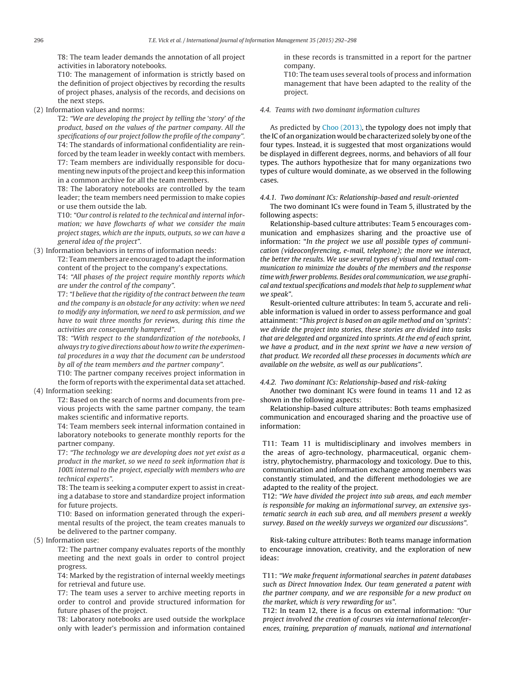T8: The team leader demands the annotation of all project activities in laboratory notebooks.

T10: The management of information is strictly based on the definition of project objectives by recording the results of project phases, analysis of the records, and decisions on the next steps.

# (2) Information values and norms:

T2: "We are developing the project by telling the 'story' of the product, based on the values of the partner company. All the specifications of our project follow the profile of the company". T4: The standards of informational confidentiality are reinforced by the team leader in weekly contact with members. T7: Team members are individually responsible for documenting new inputs of the project and keep this information in a common archive for all the team members.

T8: The laboratory notebooks are controlled by the team leader; the team members need permission to make copies or use them outside the lab.

T10: "Our control is related to the technical and internal information; we have flowcharts of what we consider the main project stages, which are the inputs, outputs, so we can have a general idea of the project".

(3) Information behaviors in terms of information needs:

T2: Team members are encouraged to adapt the information content of the project to the company's expectations.

T4: "All phases of the project require monthly reports which are under the control of the company".

T7: "I believe that the rigidity of the contract between the team and the company is an obstacle for any activity: when we need to modify any information, we need to ask permission, and we have to wait three months for reviews, during this time the activities are consequently hampered".

T8: "With respect to the standardization of the notebooks, I always try to give directions about how to write the experimental procedures in a way that the document can be understood by all of the team members and the partner company".

T10: The partner company receives project information in the form of reports with the experimental data set attached.

# (4) Information seeking:

T2: Based on the search of norms and documents from previous projects with the same partner company, the team makes scientific and informative reports.

T4: Team members seek internal information contained in laboratory notebooks to generate monthly reports for the partner company.

T7: "The technology we are developing does not yet exist as a product in the market, so we need to seek information that is 100% internal to the project, especially with members who are technical experts".

T8: The team is seeking a computer expert to assist in creating a database to store and standardize project information for future projects.

T10: Based on information generated through the experimental results of the project, the team creates manuals to be delivered to the partner company.

(5) Information use:

T2: The partner company evaluates reports of the monthly meeting and the next goals in order to control project progress.

T4: Marked by the registration of internal weekly meetings for retrieval and future use.

T7: The team uses a server to archive meeting reports in order to control and provide structured information for future phases of the project.

T8: Laboratory notebooks are used outside the workplace only with leader's permission and information contained in these records is transmitted in a report for the partner company.

T10: The team uses several tools of process and information management that have been adapted to the reality of the project.

# 4.4. Teams with two dominant information cultures

As predicted by [Choo](#page-6-0) [\(2013\),](#page-6-0) the typology does not imply that the IC of an organization would be characterized solely by one ofthe four types. Instead, it is suggested that most organizations would be displayed in different degrees, norms, and behaviors of all four types. The authors hypothesize that for many organizations two types of culture would dominate, as we observed in the following cases.

#### 4.4.1. Two dominant ICs: Relationship-based and result-oriented

The two dominant ICs were found in Team 5, illustrated by the following aspects:

Relationship-based culture attributes: Team 5 encourages communication and emphasizes sharing and the proactive use of information: "In the project we use all possible types of communication (videoconferencing, e-mail, telephone); the more we interact, the better the results. We use several types of visual and textual communication to minimize the doubts of the members and the response time with fewer problems. Besides oral communication, we use graphical and textual specifications and models that help to supplement what we speak"

Result-oriented culture attributes: In team 5, accurate and reliable information is valued in order to assess performance and goal attainment: "This project is based on an agile method and on 'sprints': we divide the project into stories, these stories are divided into tasks that are delegated and organized into sprints. At the end of each sprint, we have a product, and in the next sprint we have a new version of that product. We recorded all these processes in documents which are available on the website, as well as our publications".

4.4.2. Two dominant ICs: Relationship-based and risk-taking

Another two dominant ICs were found in teams 11 and 12 as shown in the following aspects:

Relationship-based culture attributes: Both teams emphasized communication and encouraged sharing and the proactive use of information:

T11: Team 11 is multidisciplinary and involves members in the areas of agro-technology, pharmaceutical, organic chemistry, phytochemistry, pharmacology and toxicology. Due to this, communication and information exchange among members was constantly stimulated, and the different methodologies we are adapted to the reality of the project.

T12: "We have divided the project into sub areas, and each member is responsible for making an informational survey, an extensive systematic search in each sub area, and all members present a weekly survey. Based on the weekly surveys we organized our discussions".

Risk-taking culture attributes: Both teams manage information to encourage innovation, creativity, and the exploration of new ideas:

T11: "We make frequent informational searches in patent databases such as Direct Innovation Index. Our team generated a patent with the partner company, and we are responsible for a new product on the market, which is very rewarding for us".

T12: In team 12, there is a focus on external information: "Our project involved the creation of courses via international teleconferences, training, preparation of manuals, national and international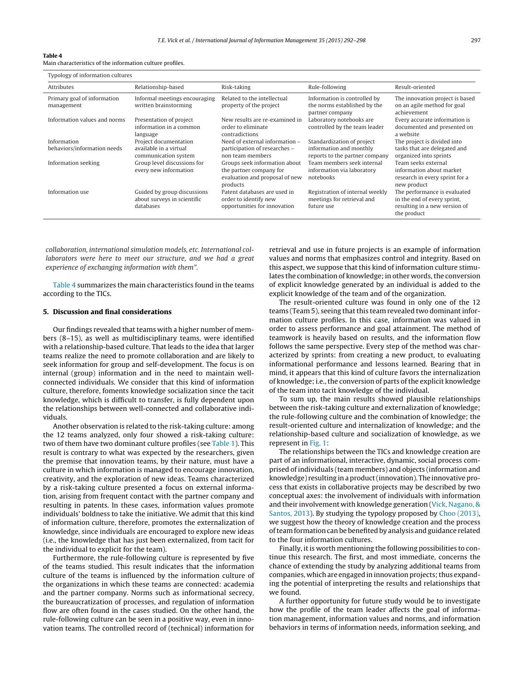#### **Table 4**

Main characteristics of the information culture profiles.

| Typology of information cultures          |                                                                         |                                                                                                        |                                                                                 |                                                                                                             |
|-------------------------------------------|-------------------------------------------------------------------------|--------------------------------------------------------------------------------------------------------|---------------------------------------------------------------------------------|-------------------------------------------------------------------------------------------------------------|
| Attributes                                | Relationship-based                                                      | Risk-taking                                                                                            | Rule-following                                                                  | Result-oriented                                                                                             |
| Primary goal of information<br>management | Informal meetings encouraging<br>written brainstorming                  | Related to the intellectual<br>property of the project                                                 | Information is controlled by<br>the norms established by the<br>partner company | The innovation project is based<br>on an agile method for goal<br>achievement                               |
| Information values and norms              | Presentation of project<br>information in a common<br>language          | New results are re-examined in<br>order to eliminate<br>contradictions                                 | Laboratory notebooks are<br>controlled by the team leader                       | Every accurate information is<br>documented and presented on<br>a website                                   |
| Information                               | Project documentation                                                   | Need of external information -                                                                         | Standardization of project                                                      | The project is divided into                                                                                 |
| behaviors/information needs               | available in a virtual<br>communication system                          | participation of researches -<br>non team members                                                      | information and monthly<br>reports to the partner company                       | tasks that are delegated and<br>organized into sprints                                                      |
| Information seeking                       | Group level discussions for<br>every new information                    | Groups seek information about<br>the partner company for<br>evaluation and proposal of new<br>products | Team members seek internal<br>information via laboratory<br>notebooks           | Team seeks external<br>information about market<br>research in every sprint for a<br>new product            |
| Information use                           | Guided by group discussions<br>about surveys in scientific<br>databases | Patent databases are used in<br>order to identify new<br>opportunities for innovation                  | Registration of internal weekly<br>meetings for retrieval and<br>future use     | The performance is evaluated<br>in the end of every sprint,<br>resulting in a new version of<br>the product |

collaboration, international simulation models, etc. International collaborators were here to meet our structure, and we had a great experience of exchanging information with them".

Table 4 summarizes the main characteristics found in the teams according to the TICs.

#### **5. Discussion and final considerations**

Our findings revealed that teams with a higher number of members (8–15), as well as multidisciplinary teams, were identified with a relationship-based culture. That leads to the idea that larger teams realize the need to promote collaboration and are likely to seek information for group and self-development. The focus is on internal (group) information and in the need to maintain wellconnected individuals. We consider that this kind of information culture, therefore, foments knowledge socialization since the tacit knowledge, which is difficult to transfer, is fully dependent upon the relationships between well-connected and collaborative individuals.

Another observation is related to the risk-taking culture: among the 12 teams analyzed, only four showed a risk-taking culture: two of them have two dominant culture profiles (see [Table 1\).](#page-1-0) This result is contrary to what was expected by the researchers, given the premise that innovation teams, by their nature, must have a culture in which information is managed to encourage innovation, creativity, and the exploration of new ideas. Teams characterized by a risk-taking culture presented a focus on external information, arising from frequent contact with the partner company and resulting in patents. In these cases, information values promote individuals' boldness to take the initiative. We admit that this kind of information culture, therefore, promotes the externalization of knowledge, since individuals are encouraged to explore new ideas (i.e., the knowledge that has just been externalized, from tacit for the individual to explicit for the team).

Furthermore, the rule-following culture is represented by five of the teams studied. This result indicates that the information culture of the teams is influenced by the information culture of the organizations in which these teams are connected: academia and the partner company. Norms such as informational secrecy, the bureaucratization of processes, and regulation of information flow are often found in the cases studied. On the other hand, the rule-following culture can be seen in a positive way, even in innovation teams. The controlled record of (technical) information for

retrieval and use in future projects is an example of information values and norms that emphasizes control and integrity. Based on this aspect, we suppose that this kind of information culture stimulates the combination of knowledge; in other words, the conversion of explicit knowledge generated by an individual is added to the explicit knowledge of the team and of the organization.

The result-oriented culture was found in only one of the 12 teams (Team 5), seeing that this team revealed two dominant information culture profiles. In this case, information was valued in order to assess performance and goal attainment. The method of teamwork is heavily based on results, and the information flow follows the same perspective. Every step of the method was characterized by sprints: from creating a new product, to evaluating informational performance and lessons learned. Bearing that in mind, it appears that this kind of culture favors the internalization of knowledge; i.e., the conversion of parts of the explicit knowledge of the team into tacit knowledge of the individual.

To sum up, the main results showed plausible relationships between the risk-taking culture and externalization of knowledge; the rule-following culture and the combination of knowledge; the result-oriented culture and internalization of knowledge; and the relationship-based culture and socialization of knowledge, as we represent in [Fig. 1:](#page-6-0)

The relationships between the TICs and knowledge creation are part of an informational, interactive, dynamic, social process comprised of individuals (team members) and objects (information and knowledge) resulting in a product (innovation). The innovative process that exists in collaborative projects may be described by two conceptual axes: the involvement of individuals with information and their involvement with knowledge generation ([Vick, Nagano, &](#page-6-0) [Santos, 2013\).](#page-6-0) By studying the typology proposed by [Choo \(2013\),](#page-6-0) we suggest how the theory of knowledge creation and the process of team formation can be benefited by analysis and guidance related to the four information cultures.

Finally, it is worth mentioning the following possibilities to continue this research. The first, and most immediate, concerns the chance of extending the study by analyzing additional teams from companies, which are engaged in innovation projects; thus expanding the potential of interpreting the results and relationships that we found.

A further opportunity for future study would be to investigate how the profile of the team leader affects the goal of information management, information values and norms, and information behaviors in terms of information needs, information seeking, and